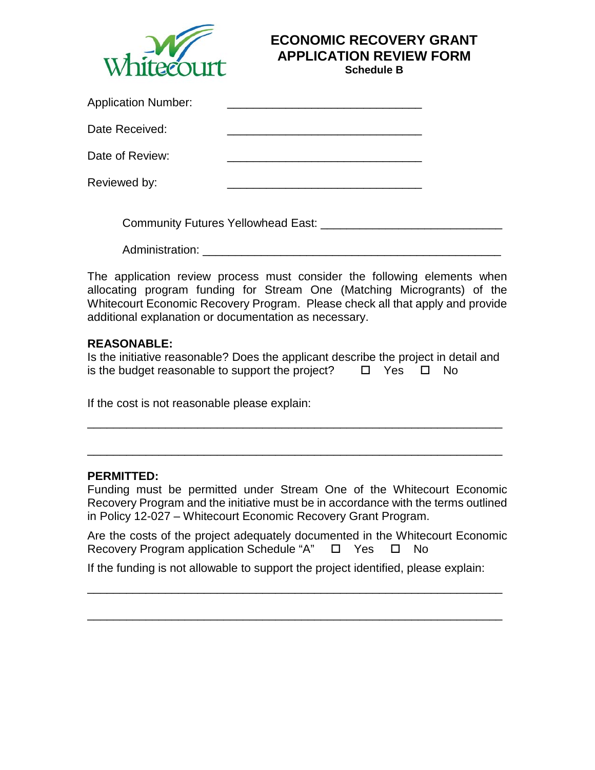

# **ECONOMIC RECOVERY GRANT APPLICATION REVIEW FORM**

**Schedule B**

| <b>Application Number:</b> |                                       |  |
|----------------------------|---------------------------------------|--|
| Date Received:             |                                       |  |
| Date of Review:            |                                       |  |
| Reviewed by:               |                                       |  |
|                            | Community Futures Yellowhead East: __ |  |

Administration: **Administration:** 

The application review process must consider the following elements when allocating program funding for Stream One (Matching Microgrants) of the Whitecourt Economic Recovery Program. Please check all that apply and provide additional explanation or documentation as necessary.

#### **REASONABLE:**

Is the initiative reasonable? Does the applicant describe the project in detail and is the budget reasonable to support the project?  $\Box$  Yes  $\Box$  No

\_\_\_\_\_\_\_\_\_\_\_\_\_\_\_\_\_\_\_\_\_\_\_\_\_\_\_\_\_\_\_\_\_\_\_\_\_\_\_\_\_\_\_\_\_\_\_\_\_\_\_\_\_\_\_\_\_\_\_\_\_\_\_\_

\_\_\_\_\_\_\_\_\_\_\_\_\_\_\_\_\_\_\_\_\_\_\_\_\_\_\_\_\_\_\_\_\_\_\_\_\_\_\_\_\_\_\_\_\_\_\_\_\_\_\_\_\_\_\_\_\_\_\_\_\_\_\_\_

If the cost is not reasonable please explain:

#### **PERMITTED:**

Funding must be permitted under Stream One of the Whitecourt Economic Recovery Program and the initiative must be in accordance with the terms outlined in Policy 12-027 – Whitecourt Economic Recovery Grant Program.

Are the costs of the project adequately documented in the Whitecourt Economic Recovery Program application Schedule "A"  $\Box$  Yes  $\Box$  No

If the funding is not allowable to support the project identified, please explain:

\_\_\_\_\_\_\_\_\_\_\_\_\_\_\_\_\_\_\_\_\_\_\_\_\_\_\_\_\_\_\_\_\_\_\_\_\_\_\_\_\_\_\_\_\_\_\_\_\_\_\_\_\_\_\_\_\_\_\_\_\_\_\_\_

\_\_\_\_\_\_\_\_\_\_\_\_\_\_\_\_\_\_\_\_\_\_\_\_\_\_\_\_\_\_\_\_\_\_\_\_\_\_\_\_\_\_\_\_\_\_\_\_\_\_\_\_\_\_\_\_\_\_\_\_\_\_\_\_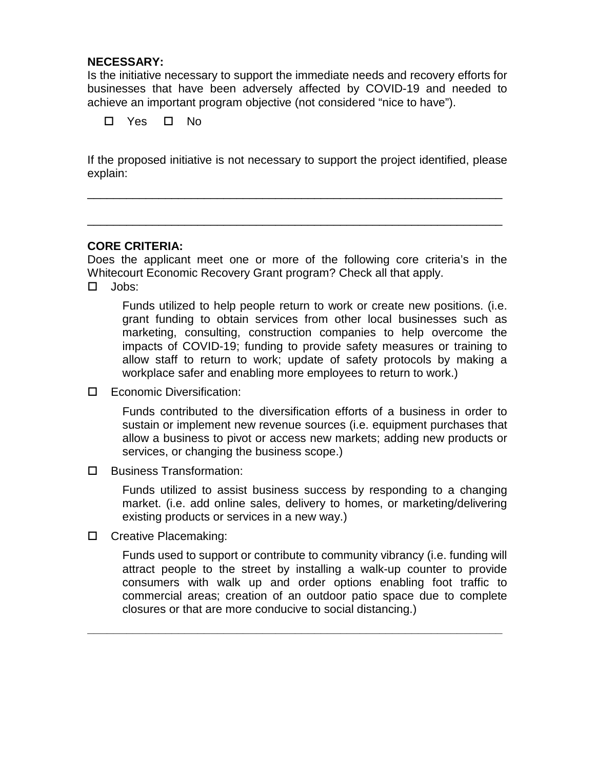#### **NECESSARY:**

Is the initiative necessary to support the immediate needs and recovery efforts for businesses that have been adversely affected by COVID-19 and needed to achieve an important program objective (not considered "nice to have").

Yes No

If the proposed initiative is not necessary to support the project identified, please explain:

\_\_\_\_\_\_\_\_\_\_\_\_\_\_\_\_\_\_\_\_\_\_\_\_\_\_\_\_\_\_\_\_\_\_\_\_\_\_\_\_\_\_\_\_\_\_\_\_\_\_\_\_\_\_\_\_\_\_\_\_\_\_\_\_

\_\_\_\_\_\_\_\_\_\_\_\_\_\_\_\_\_\_\_\_\_\_\_\_\_\_\_\_\_\_\_\_\_\_\_\_\_\_\_\_\_\_\_\_\_\_\_\_\_\_\_\_\_\_\_\_\_\_\_\_\_\_\_\_

### **CORE CRITERIA:**

Does the applicant meet one or more of the following core criteria's in the Whitecourt Economic Recovery Grant program? Check all that apply. Jobs:

Funds utilized to help people return to work or create new positions. (i.e. grant funding to obtain services from other local businesses such as marketing, consulting, construction companies to help overcome the impacts of COVID-19; funding to provide safety measures or training to allow staff to return to work; update of safety protocols by making a workplace safer and enabling more employees to return to work.)

Economic Diversification:

Funds contributed to the diversification efforts of a business in order to sustain or implement new revenue sources (i.e. equipment purchases that allow a business to pivot or access new markets; adding new products or services, or changing the business scope.)

□ Business Transformation:

Funds utilized to assist business success by responding to a changing market. (i.e. add online sales, delivery to homes, or marketing/delivering existing products or services in a new way.)

□ Creative Placemaking:

Funds used to support or contribute to community vibrancy (i.e. funding will attract people to the street by installing a walk-up counter to provide consumers with walk up and order options enabling foot traffic to commercial areas; creation of an outdoor patio space due to complete closures or that are more conducive to social distancing.)

**\_\_\_\_\_\_\_\_\_\_\_\_\_\_\_\_\_\_\_\_\_\_\_\_\_\_\_\_\_\_\_\_\_\_\_\_\_\_\_\_\_\_\_\_\_\_\_\_\_\_\_\_\_\_\_\_\_\_\_\_\_\_\_\_**